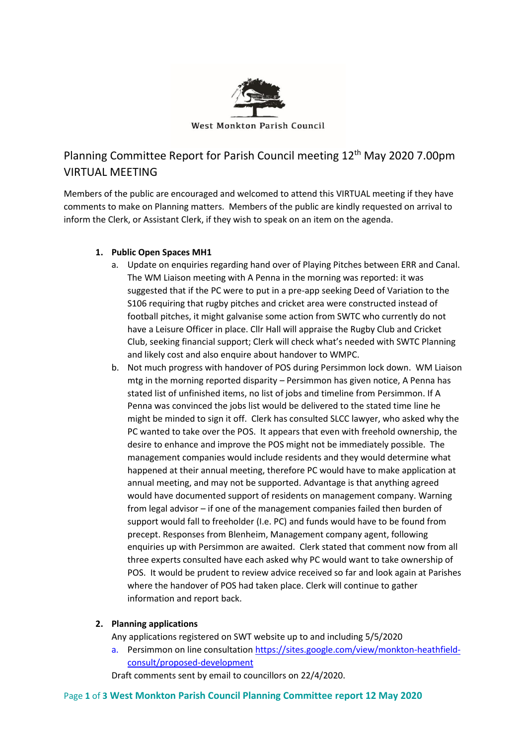

# Planning Committee Report for Parish Council meeting 12<sup>th</sup> May 2020 7.00pm VIRTUAL MEETING

Members of the public are encouraged and welcomed to attend this VIRTUAL meeting if they have comments to make on Planning matters. Members of the public are kindly requested on arrival to inform the Clerk, or Assistant Clerk, if they wish to speak on an item on the agenda.

## **1. Public Open Spaces MH1**

- a. Update on enquiries regarding hand over of Playing Pitches between ERR and Canal. The WM Liaison meeting with A Penna in the morning was reported: it was suggested that if the PC were to put in a pre-app seeking Deed of Variation to the S106 requiring that rugby pitches and cricket area were constructed instead of football pitches, it might galvanise some action from SWTC who currently do not have a Leisure Officer in place. Cllr Hall will appraise the Rugby Club and Cricket Club, seeking financial support; Clerk will check what's needed with SWTC Planning and likely cost and also enquire about handover to WMPC.
- b. Not much progress with handover of POS during Persimmon lock down. WM Liaison mtg in the morning reported disparity – Persimmon has given notice, A Penna has stated list of unfinished items, no list of jobs and timeline from Persimmon. If A Penna was convinced the jobs list would be delivered to the stated time line he might be minded to sign it off. Clerk has consulted SLCC lawyer, who asked why the PC wanted to take over the POS. It appears that even with freehold ownership, the desire to enhance and improve the POS might not be immediately possible. The management companies would include residents and they would determine what happened at their annual meeting, therefore PC would have to make application at annual meeting, and may not be supported. Advantage is that anything agreed would have documented support of residents on management company. Warning from legal advisor – if one of the management companies failed then burden of support would fall to freeholder (I.e. PC) and funds would have to be found from precept. Responses from Blenheim, Management company agent, following enquiries up with Persimmon are awaited. Clerk stated that comment now from all three experts consulted have each asked why PC would want to take ownership of POS. It would be prudent to review advice received so far and look again at Parishes where the handover of POS had taken place. Clerk will continue to gather information and report back.

## **2. Planning applications**

Any applications registered on SWT website up to and including 5/5/2020

a. Persimmon on line consultation [https://sites.google.com/view/monkton-heathfield](https://sites.google.com/view/monkton-heathfield-consult/proposed-development)[consult/proposed-development](https://sites.google.com/view/monkton-heathfield-consult/proposed-development)

Draft comments sent by email to councillors on 22/4/2020.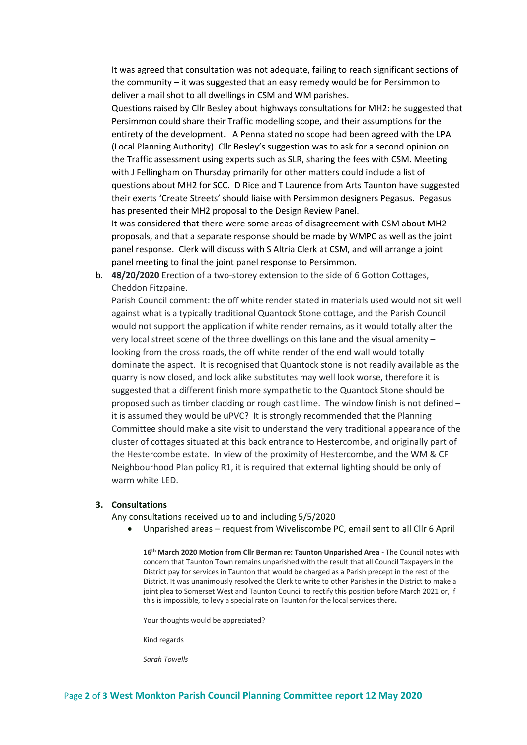It was agreed that consultation was not adequate, failing to reach significant sections of the community – it was suggested that an easy remedy would be for Persimmon to deliver a mail shot to all dwellings in CSM and WM parishes.

Questions raised by Cllr Besley about highways consultations for MH2: he suggested that Persimmon could share their Traffic modelling scope, and their assumptions for the entirety of the development. A Penna stated no scope had been agreed with the LPA (Local Planning Authority). Cllr Besley's suggestion was to ask for a second opinion on the Traffic assessment using experts such as SLR, sharing the fees with CSM. Meeting with J Fellingham on Thursday primarily for other matters could include a list of questions about MH2 for SCC. D Rice and T Laurence from Arts Taunton have suggested their exerts 'Create Streets' should liaise with Persimmon designers Pegasus. Pegasus has presented their MH2 proposal to the Design Review Panel.

It was considered that there were some areas of disagreement with CSM about MH2 proposals, and that a separate response should be made by WMPC as well as the joint panel response. Clerk will discuss with S Altria Clerk at CSM, and will arrange a joint panel meeting to final the joint panel response to Persimmon.

b. **48/20/2020** Erection of a two-storey extension to the side of 6 Gotton Cottages, Cheddon Fitzpaine.

Parish Council comment: the off white render stated in materials used would not sit well against what is a typically traditional Quantock Stone cottage, and the Parish Council would not support the application if white render remains, as it would totally alter the very local street scene of the three dwellings on this lane and the visual amenity – looking from the cross roads, the off white render of the end wall would totally dominate the aspect. It is recognised that Quantock stone is not readily available as the quarry is now closed, and look alike substitutes may well look worse, therefore it is suggested that a different finish more sympathetic to the Quantock Stone should be proposed such as timber cladding or rough cast lime. The window finish is not defined – it is assumed they would be uPVC? It is strongly recommended that the Planning Committee should make a site visit to understand the very traditional appearance of the cluster of cottages situated at this back entrance to Hestercombe, and originally part of the Hestercombe estate. In view of the proximity of Hestercombe, and the WM & CF Neighbourhood Plan policy R1, it is required that external lighting should be only of warm white LED.

#### **3. Consultations**

Any consultations received up to and including 5/5/2020

• Unparished areas – request from Wiveliscombe PC, email sent to all Cllr 6 April

**16th March 2020 Motion from Cllr Berman re: Taunton Unparished Area -** The Council notes with concern that Taunton Town remains unparished with the result that all Council Taxpayers in the District pay for services in Taunton that would be charged as a Parish precept in the rest of the District. It was unanimously resolved the Clerk to write to other Parishes in the District to make a joint plea to Somerset West and Taunton Council to rectify this position before March 2021 or, if this is impossible, to levy a special rate on Taunton for the local services there**.**

Your thoughts would be appreciated?

Kind regards

*Sarah Towells*